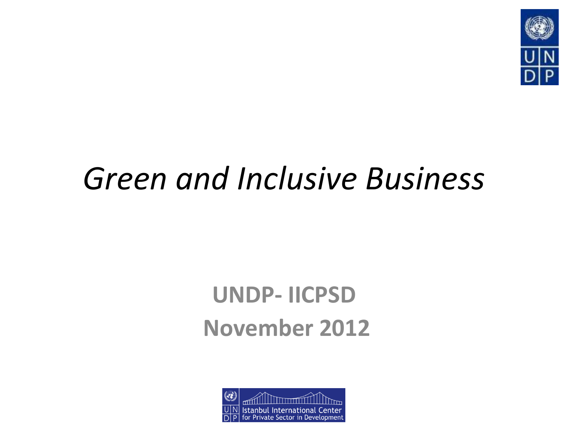

# *Green and Inclusive Business*

### **UNDP- IICPSD November 2012**

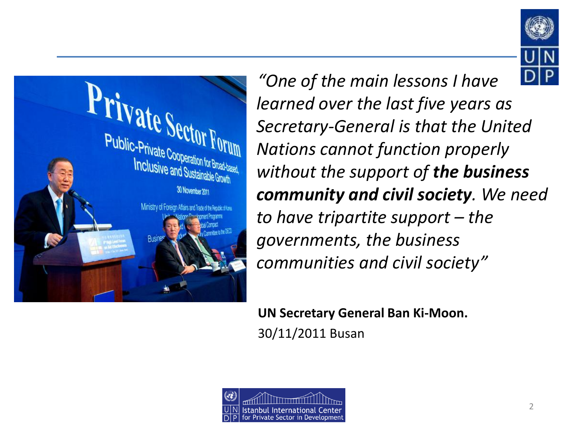



*"One of the main lessons I have learned over the last five years as Secretary-General is that the United Nations cannot function properly without the support of the business community and civil society. We need to have tripartite support – the governments, the business communities and civil society"*

**UN Secretary General Ban Ki-Moon.** 30/11/2011 Busan

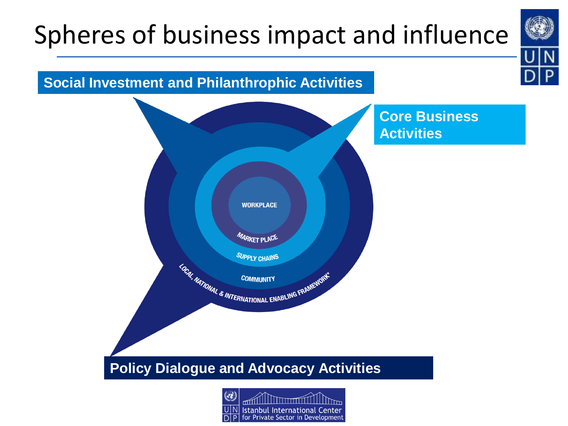## Spheres of business impact and influence



#### **Social Investment and Philanthrophic Activities**



**Core Business Activities**

#### **Policy Dialogue and Advocacy Activities**

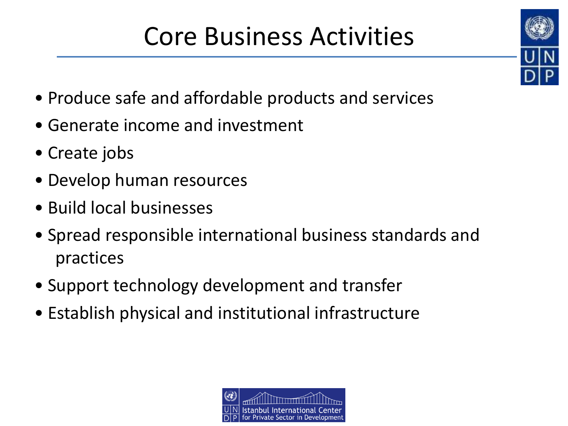## Core Business Activities

- Produce safe and affordable products and services
- Generate income and investment
- Create jobs
- Develop human resources
- Build local businesses
- Spread responsible international business standards and practices
- Support technology development and transfer
- Establish physical and institutional infrastructure



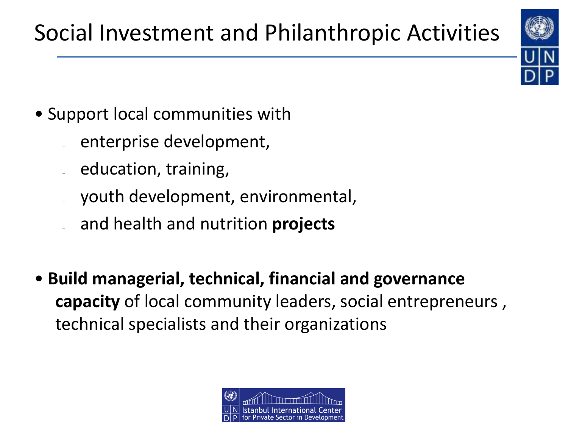- Support local communities with
	- enterprise development,
	- education, training,
	- youth development, environmental,
	- and health and nutrition **projects**
- **Build managerial, technical, financial and governance capacity** of local community leaders, social entrepreneurs , technical specialists and their organizations

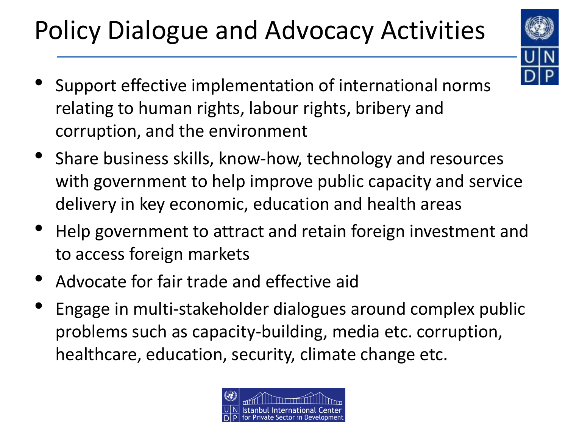# Policy Dialogue and Advocacy Activities



- Support effective implementation of international norms relating to human rights, labour rights, bribery and corruption, and the environment
- Share business skills, know-how, technology and resources with government to help improve public capacity and service delivery in key economic, education and health areas
- Help government to attract and retain foreign investment and to access foreign markets
- Advocate for fair trade and effective aid
- Engage in multi-stakeholder dialogues around complex public problems such as capacity-building, media etc. corruption, healthcare, education, security, climate change etc.

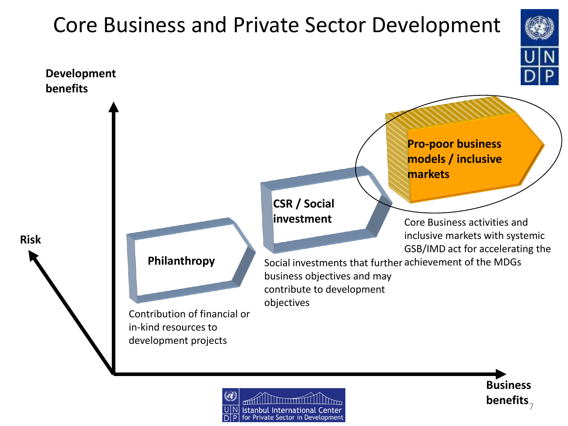## Core Business and Private Sector Development **Pro-poor business models / inclusive markets Development benefits**

**investment**

**CSR / Social** 

Core Business activities and inclusive markets with systemic GSB/IMD act for accelerating the

Contribution of financial or in-kind resources to development projects

**Philanthropy**

**Risk**

Social investments that further achievement of the MDGs business objectives and may contribute to development objectives



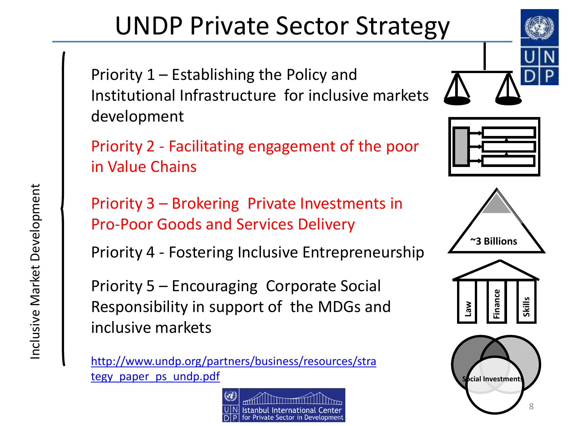## UNDP Private Sector Strategy

Priority 1 – Establishing the Policy and Institutional Infrastructure for inclusive markets development

Priority 2 - Facilitating engagement of the poor in Value Chains

Priority 3 – Brokering Private Investments in Pro-Poor Goods and Services Delivery

Priority 4 - Fostering Inclusive Entrepreneurship

Priority 5 – Encouraging Corporate Social Responsibility in support of the MDGs and inclusive markets

[http://www.undp.org/partners/business/resources/stra](http://www.undp.org/partners/business/resources/strategy_paper_ps_undp.pdf) [tegy\\_paper\\_ps\\_undp.pdf](http://www.undp.org/partners/business/resources/strategy_paper_ps_undp.pdf)









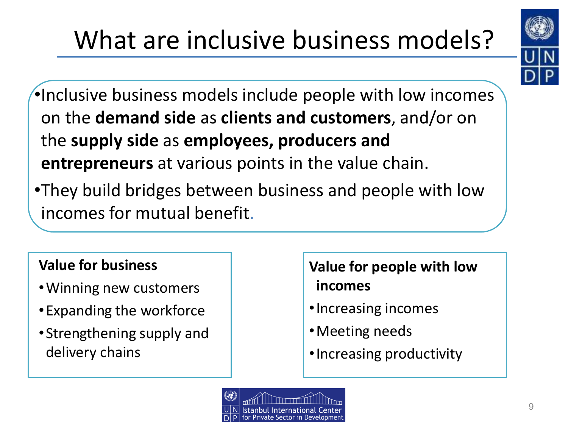# What are inclusive business models?



- •Inclusive business models include people with low incomes on the **demand side** as **clients and customers**, and/or on the **supply side** as **employees, producers and entrepreneurs** at various points in the value chain.
- •They build bridges between business and people with low incomes for mutual benefit.

#### **Value for business**

- •Winning new customers
- •Expanding the workforce
- •Strengthening supply and delivery chains

### **Value for people with low incomes**

- •Increasing incomes
- •Meeting needs
- •Increasing productivity

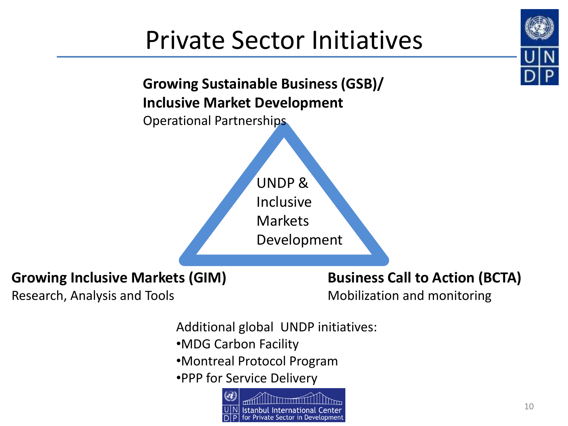## Private Sector Initiatives



### **Growing Inclusive Markets (GIM)**

Research, Analysis and Tools

#### **Business Call to Action (BCTA)**

Mobilization and monitoring

- Additional global UNDP initiatives:
- •MDG Carbon Facility
- •Montreal Protocol Program
- •PPP for Service Delivery

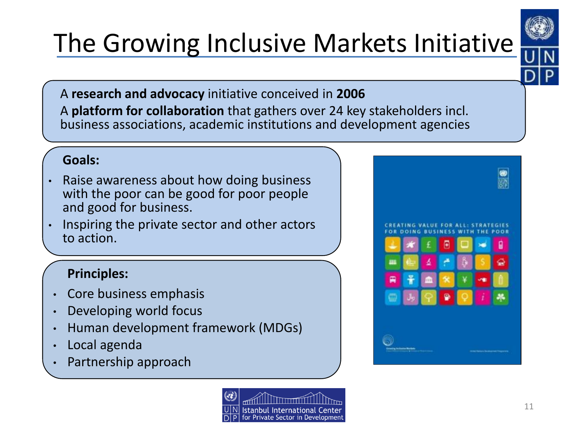# The Growing Inclusive Markets Initiative



• A **research and advocacy** initiative conceived in **2006** • A **platform for collaboration** that gathers over 24 key stakeholders incl. business associations, academic institutions and development agencies

#### **Goals:**

- Raise awareness about how doing business with the poor can be good for poor people and good for business.
- Inspiring the private sector and other actors to action.

#### **Principles:**

- Core business emphasis
- Developing world focus
- Human development framework (MDGs)
- Local agenda
- Partnership approach



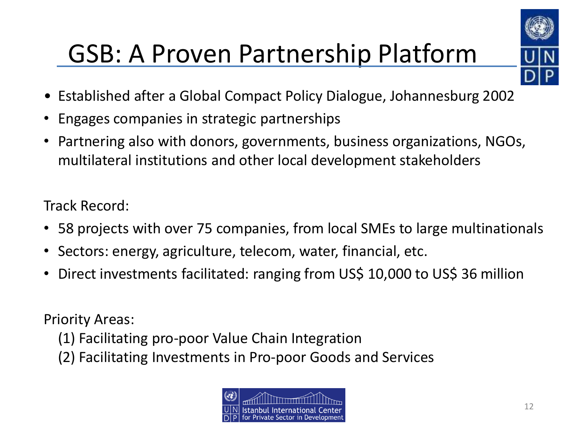

## GSB: A Proven Partnership Platform

- Established after a Global Compact Policy Dialogue, Johannesburg 2002
- Engages companies in strategic partnerships
- Partnering also with donors, governments, business organizations, NGOs, multilateral institutions and other local development stakeholders

Track Record:

- 58 projects with over 75 companies, from local SMEs to large multinationals
- Sectors: energy, agriculture, telecom, water, financial, etc.
- Direct investments facilitated: ranging from US\$ 10,000 to US\$ 36 million

Priority Areas:

- (1) Facilitating pro-poor Value Chain Integration
- (2) Facilitating Investments in Pro-poor Goods and Services

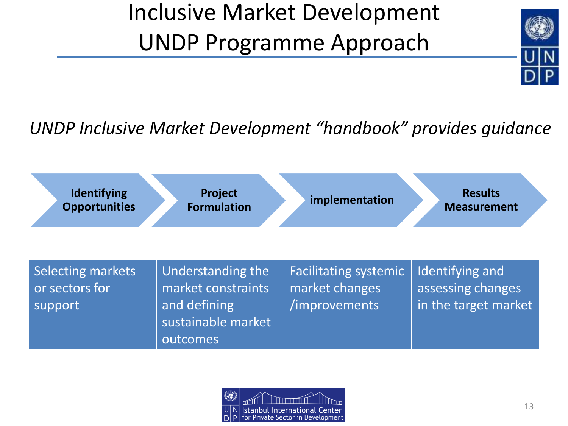### Inclusive Market Development UNDP Programme Approach



### *UNDP Inclusive Market Development "handbook" provides guidance*

| Identifying                                           | Project                                                                                          | implementation                                                  | <b>Results</b>                                               |
|-------------------------------------------------------|--------------------------------------------------------------------------------------------------|-----------------------------------------------------------------|--------------------------------------------------------------|
| <b>Opportunities</b>                                  | <b>Formulation</b>                                                                               |                                                                 | <b>Measurement</b>                                           |
| <b>Selecting markets</b><br>or sectors for<br>support | <b>Understanding the</b><br>market constraints<br>and defining<br>sustainable market<br>outcomes | <b>Facilitating systemic</b><br>market changes<br>/improvements | Identifying and<br>assessing changes<br>in the target market |

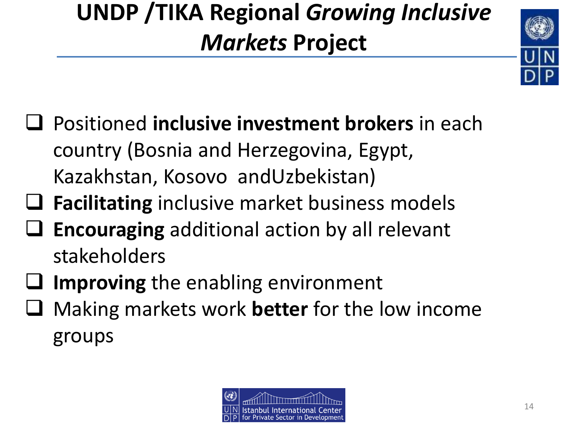### **UNDP /TIKA Regional** *Growing Inclusive Markets* **Project**



- Positioned **inclusive investment brokers** in each country (Bosnia and Herzegovina, Egypt, Kazakhstan, Kosovo andUzbekistan)
- **Facilitating** inclusive market business models
- **Encouraging** additional action by all relevant stakeholders
- **Improving** the enabling environment
- Making markets work **better** for the low income groups

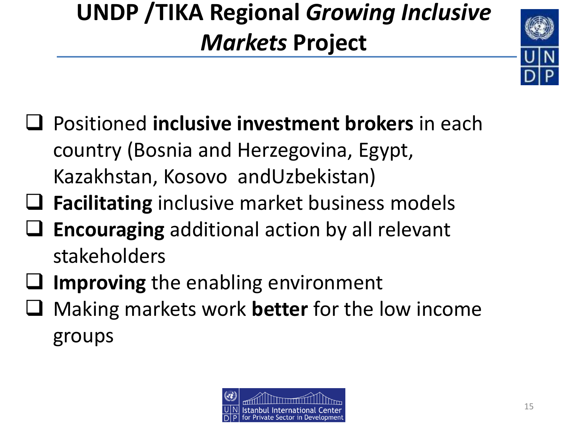### **UNDP /TIKA Regional** *Growing Inclusive Markets* **Project**



- Positioned **inclusive investment brokers** in each country (Bosnia and Herzegovina, Egypt, Kazakhstan, Kosovo andUzbekistan)
- **Facilitating** inclusive market business models
- **Encouraging** additional action by all relevant stakeholders
- **Improving** the enabling environment
- Making markets work **better** for the low income groups